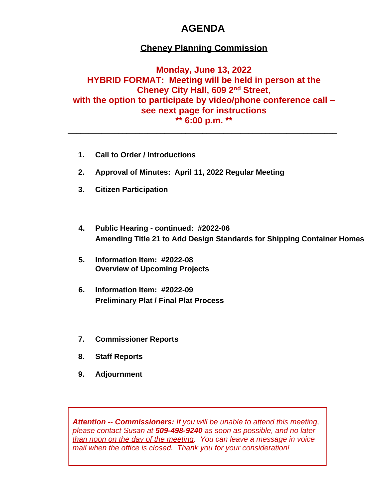# **AGENDA**

### **Cheney Planning Commission**

**Monday, June 13, 2022 HYBRID FORMAT: Meeting will be held in person at the Cheney City Hall, 609 2nd Street, with the option to participate by video/phone conference call – see next page for instructions \*\* 6:00 p.m. \*\***

**\_\_\_\_\_\_\_\_\_\_\_\_\_\_\_\_\_\_\_\_\_\_\_\_\_\_\_\_\_\_\_\_\_\_\_\_\_\_\_\_\_\_\_\_\_\_\_\_\_\_\_\_\_\_\_\_\_\_\_\_\_\_\_\_**

- **1. Call to Order / Introductions**
- **2. Approval of Minutes: April 11, 2022 Regular Meeting**
- **3. Citizen Participation**
- **4. Public Hearing continued: #2022-06 Amending Title 21 to Add Design Standards for Shipping Container Homes**

**\_\_\_\_\_\_\_\_\_\_\_\_\_\_\_\_\_\_\_\_\_\_\_\_\_\_\_\_\_\_\_\_\_\_\_\_\_\_\_\_\_\_\_\_\_\_\_\_\_\_\_\_\_\_\_\_\_\_\_\_\_\_\_\_\_\_\_\_\_\_**

**\_\_\_\_\_\_\_\_\_\_\_\_\_\_\_\_\_\_\_\_\_\_\_\_\_\_\_\_\_\_\_\_\_\_\_\_\_\_\_\_\_\_\_\_\_\_\_\_\_\_\_\_\_\_\_\_\_\_\_\_\_\_\_\_\_\_\_\_\_**

- **5. Information Item: #2022-08 Overview of Upcoming Projects**
- **6. Information Item: #2022-09 Preliminary Plat / Final Plat Process**
- **7. Commissioner Reports**
- **8. Staff Reports**
- **9. Adjournment**

*Attention -- Commissioners: If you will be unable to attend this meeting, please contact Susan at 509-498-9240 as soon as possible, and no later than noon on the day of the meeting. You can leave a message in voice mail when the office is closed. Thank you for your consideration!*